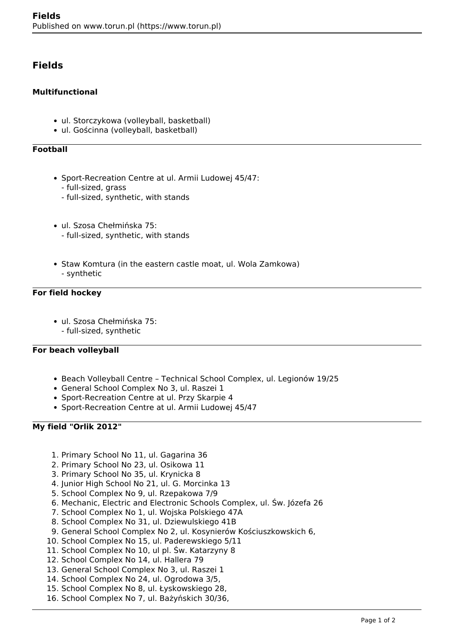# **Fields**

### **Multifunctional**

- ul. Storczykowa (volleyball, basketball)
- ul. Gościnna (volleyball, basketball)

## **Football**

- Sport-Recreation Centre at ul. Armii Ludowej 45/47:
	- full-sized, grass
	- full-sized, synthetic, with stands
- ul. Szosa Chełmińska 75: - full-sized, synthetic, with stands
- Staw Komtura (in the eastern castle moat, ul. Wola Zamkowa) - synthetic

#### **For field hockey**

ul. Szosa Chełmińska 75: - full-sized, synthetic

#### **For beach volleyball**

- Beach Volleyball Centre Technical School Complex, ul. Legionów 19/25
- General School Complex No 3, ul. Raszei 1
- Sport-Recreation Centre at ul. Przy Skarpie 4
- Sport-Recreation Centre at ul. Armii Ludowej 45/47

#### **My field "Orlik 2012"**

- 1. Primary School No 11, ul. Gagarina 36
- 2. Primary School No 23, ul. Osikowa 11
- 3. Primary School No 35, ul. Krynicka 8
- 4. Junior High School No 21, ul. G. Morcinka 13
- 5. School Complex No 9, ul. Rzepakowa 7/9
- 6. Mechanic, Electric and Electronic Schools Complex, ul. Św. Józefa 26
- 7. School Complex No 1, ul. Wojska Polskiego 47A
- 8. School Complex No 31, ul. Dziewulskiego 41B
- 9. General School Complex No 2, ul. Kosynierów Kościuszkowskich 6,
- 10. School Complex No 15, ul. Paderewskiego 5/11
- 11. School Complex No 10, ul pl. Św. Katarzyny 8
- 12. School Complex No 14, ul. Hallera 79
- 13. General School Complex No 3, ul. Raszei 1
- 14. School Complex No 24, ul. Ogrodowa 3/5,
- 15. School Complex No 8, ul. Łyskowskiego 28,
- 16. School Complex No 7, ul. Bażyńskich 30/36,